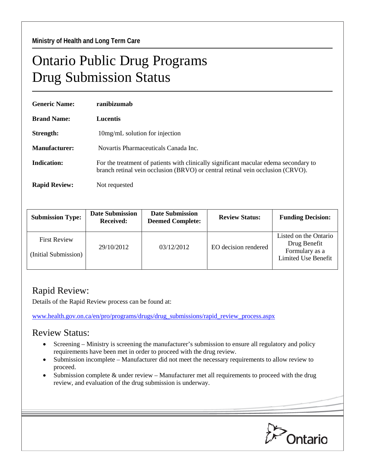## Ontario Public Drug Programs Drug Submission Status

| <b>Generic Name:</b> | ranibizumab                                                                                                                                                            |  |  |  |
|----------------------|------------------------------------------------------------------------------------------------------------------------------------------------------------------------|--|--|--|
| <b>Brand Name:</b>   | Lucentis                                                                                                                                                               |  |  |  |
| Strength:            | 10 mg/mL solution for injection                                                                                                                                        |  |  |  |
| Manufacturer:        | Novartis Pharmaceuticals Canada Inc.                                                                                                                                   |  |  |  |
| Indication:          | For the treatment of patients with clinically significant macular edema secondary to<br>branch retinal vein occlusion (BRVO) or central retinal vein occlusion (CRVO). |  |  |  |
| <b>Rapid Review:</b> | Not requested                                                                                                                                                          |  |  |  |

| <b>Submission Type:</b>                     | <b>Date Submission</b><br><b>Received:</b> | <b>Date Submission</b><br><b>Deemed Complete:</b> | <b>Review Status:</b> | <b>Funding Decision:</b>                                                       |
|---------------------------------------------|--------------------------------------------|---------------------------------------------------|-----------------------|--------------------------------------------------------------------------------|
| <b>First Review</b><br>(Initial Submission) | 29/10/2012                                 | 03/12/2012                                        | EO decision rendered  | Listed on the Ontario<br>Drug Benefit<br>Formulary as a<br>Limited Use Benefit |

## Rapid Review:

Details of the Rapid Review process can be found at:

[www.health.gov.on.ca/en/pro/programs/drugs/drug\\_submissions/rapid\\_review\\_process.aspx](http://www.health.gov.on.ca/en/pro/programs/drugs/drug_submissions/rapid_review_process.aspx)

## Review Status:

- Screening Ministry is screening the manufacturer's submission to ensure all regulatory and policy requirements have been met in order to proceed with the drug review.
- Submission incomplete Manufacturer did not meet the necessary requirements to allow review to proceed.
- Submission complete & under review Manufacturer met all requirements to proceed with the drug review, and evaluation of the drug submission is underway.